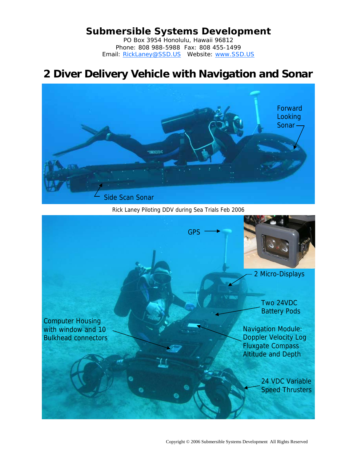## **Submersible Systems Development**

PO Box 3954 Honolulu, Hawaii 96812 Phone: 808 988-5988 Fax: 808 455-1499 Email: RickLaney@SSD.US Website: www.SSD.US

# **2 Diver Delivery Vehicle with Navigation and Sonar**



Rick Laney Piloting DDV during Sea Trials Feb 2006